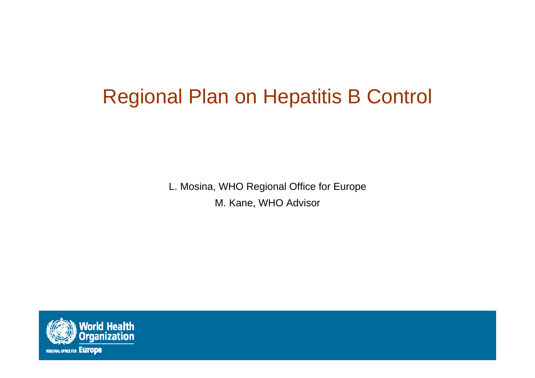### Regional Plan on Hepatitis B Control

L. Mosina, WHO Regional Office for Europe M. Kane, WHO Advisor

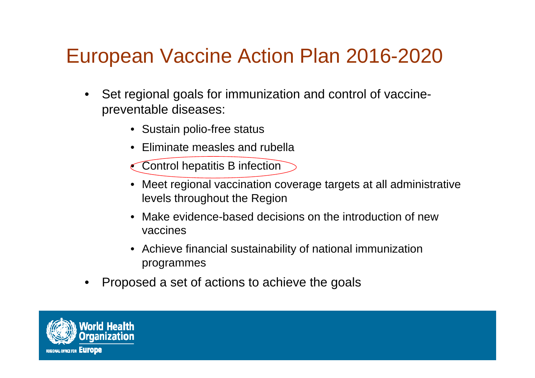#### European Vaccine Action Plan 2016-2020

- • Set regional goals for immunization and control of vaccinepreventable diseases:
	- Sustain polio-free status
	- Eliminate measles and rubella
	- Control hepatitis B infection
	- Meet regional vaccination coverage targets at all administrative levels throughout the Region
	- $\bullet$  Make evidence-based decisions on the introduction of new vaccines
	- Achieve financial sustainability of national immunization programmes
- •Proposed a set of actions to achieve the goals

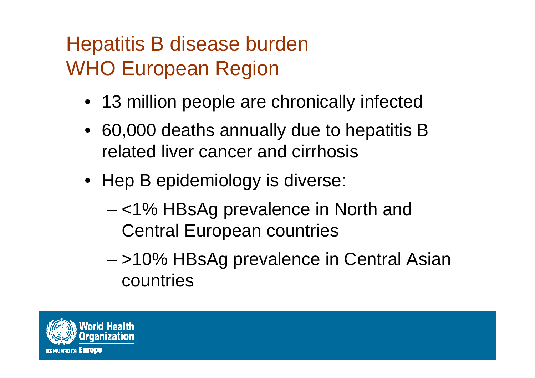# Hepatitis B disease burden WHO European Region

- 13 million people are chronically infected
- 60,000 deaths annually due to hepatitis B related liver cancer and cirrhosis
- Hep B epidemiology is diverse:
	- – <1% HBsAg prevalence in North and Central European countries
	- – >10% HBsAg prevalence in Central Asian countries

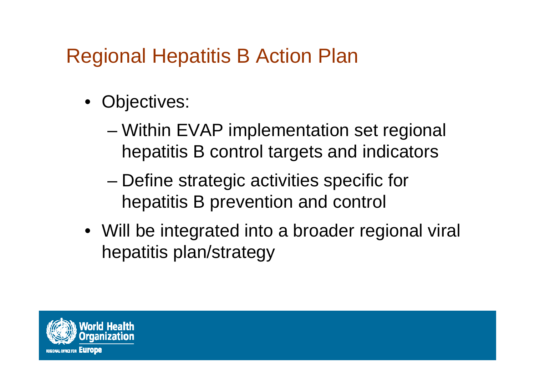### Regional Hepatitis B Action Plan

- Objectives:
	- – Within EVAP implementation set regional hepatitis B control targets and indicators
	- – Define strategic activities specific for hepatitis B prevention and control
- Will be integrated into a broader regional viral hepatitis plan/strategy

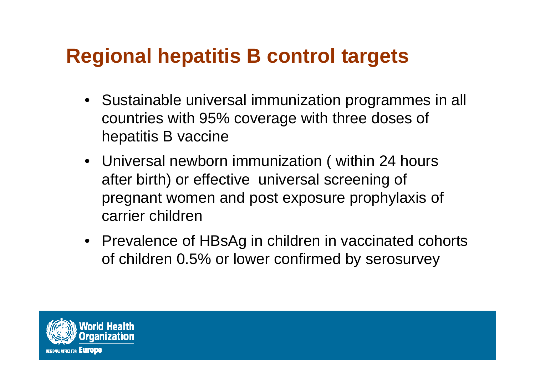## **Regional hepatitis B control targets**

- Sustainable universal immunization programmes in all countries with 95% coverage with three doses of hepatitis B vaccine
- Universal newborn immunization ( within 24 hours after birth) or effective universal screening of pregnant women and post exposure prophylaxis of carrier children
- Prevalence of HBsAg in children in vaccinated cohorts of children 0.5% or lower confirmed by serosurvey

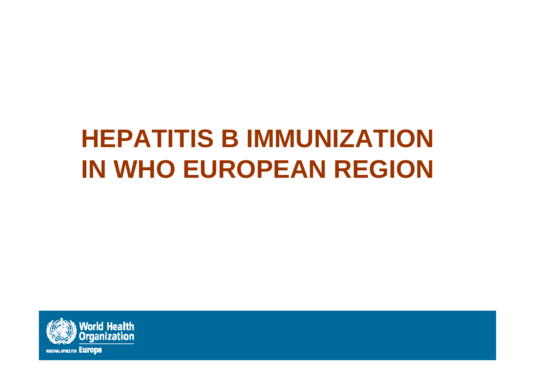# **HEPATITIS B IMMUNIZATION IN WHO EUROPEAN REGION**

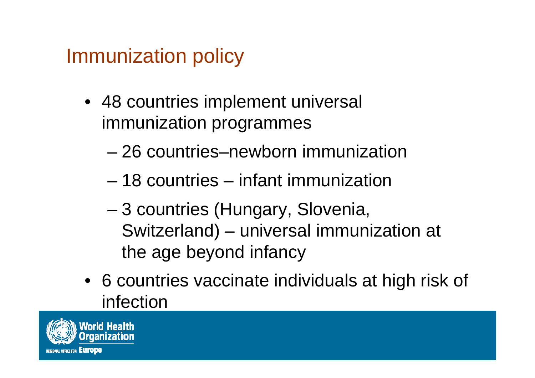Immunization policy

- 48 countries implement universal immunization programmes
	- 26 countries–newborn immunization
	- 18 countries infant immunization
	- – 3 countries (Hungary, Slovenia, Switzerland) – universal immunization at the age beyond infancy
- 6 countries vaccinate individuals at high risk of infection

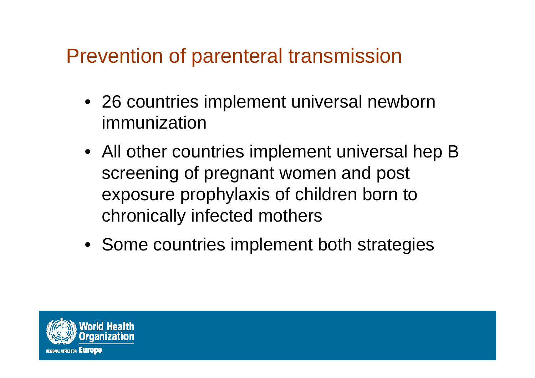#### Prevention of parenteral transmission

- 26 countries implement universal newborn immunization
- All other countries implement universal hep B screening of pregnant women and post exposure prophylaxis of children born to chronically infected mothers
- Some countries implement both strategies

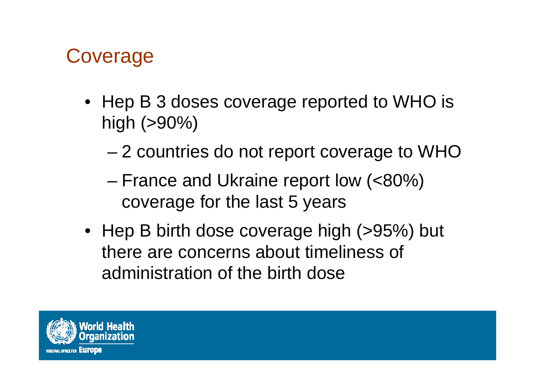#### **Coverage**

- Hep B 3 doses coverage reported to WHO is high (>90%)
	- –2 countries do not report coverage to WHO
	- – France and Ukraine report low (<80%) coverage for the last 5 years
- Hep B birth dose coverage high (>95%) but there are concerns about timeliness of administration of the birth dose

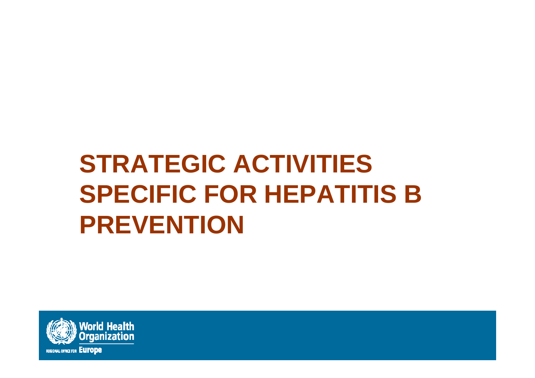# **STRATEGIC ACTIVITIES SPECIFIC FOR HEPATITIS B PREVENTION**

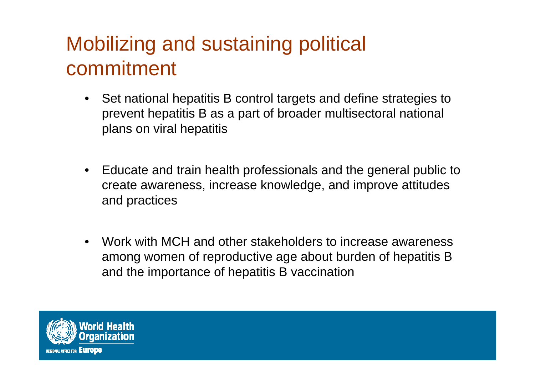## Mobilizing and sustaining political commitment

- Set national hepatitis B control targets and define strategies to prevent hepatitis B as a part of broader multisectoral national plans on viral hepatitis
- $\bullet$  Educate and train health professionals and the general public to create awareness, increase knowledge, and improve attitudes and practices
- $\bullet$  Work with MCH and other stakeholders to increase awareness among women of reproductive age about burden of hepatitis B and the importance of hepatitis B vaccination

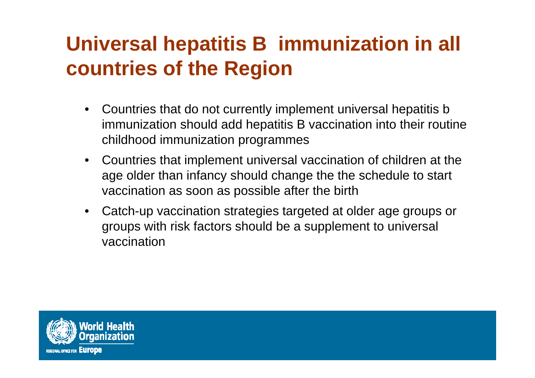# **Universal hepatitis B immunization in all countries of the Region**

- $\bullet$  Countries that do not currently implement universal hepatitis b immunization should add hepatitis B vaccination into their routine childhood immunization programmes
- $\bullet$  Countries that implement universal vaccination of children at the age older than infancy should change the the schedule to start vaccination as soon as possible after the birth
- $\bullet$  Catch-up vaccination strategies targeted at older age groups or groups with risk factors should be a supplement to universal vaccination

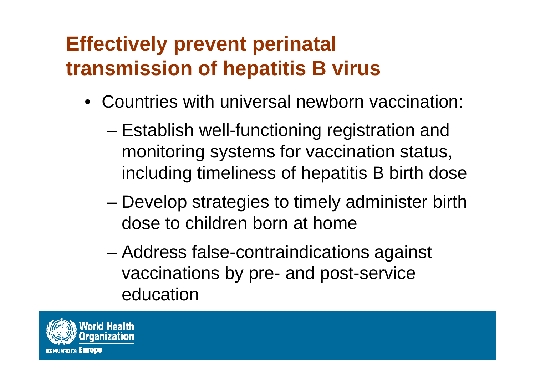# **Effectively prevent perinatal transmission of hepatitis B virus**

- Countries with universal newborn vaccination:
	- – Establish well-functioning registration and monitoring systems for vaccination status, including timeliness of hepatitis B birth dose
	- – Develop strategies to timely administer birth dose to children born at home
	- – Address false-contraindications against vaccinations by pre- and post-service education

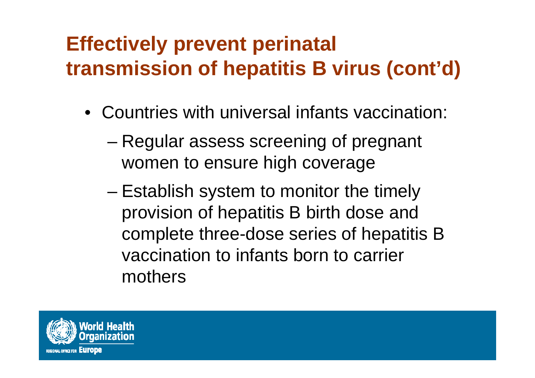# **Effectively prevent perinatal transmission of hepatitis B virus (cont'd)**

- Countries with universal infants vaccination:
	- – Regular assess screening of pregnant women to ensure high coverage
	- – Establish system to monitor the timely provision of hepatitis B birth dose and complete three-dose series of hepatitis B vaccination to infants born to carrier mothers